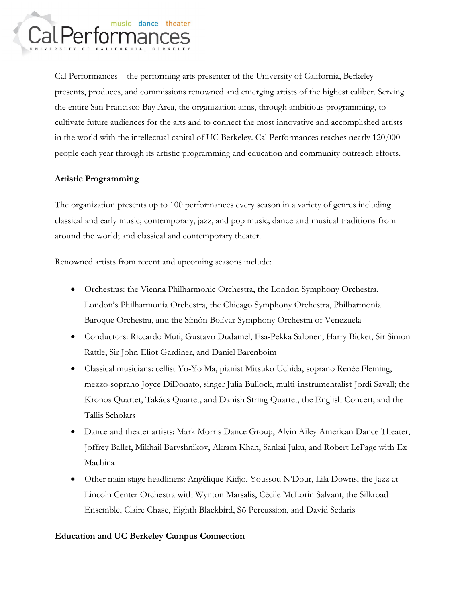

Cal Performances—the performing arts presenter of the University of California, Berkeley presents, produces, and commissions renowned and emerging artists of the highest caliber. Serving the entire San Francisco Bay Area, the organization aims, through ambitious programming, to cultivate future audiences for the arts and to connect the most innovative and accomplished artists in the world with the intellectual capital of UC Berkeley. Cal Performances reaches nearly 120,000 people each year through its artistic programming and education and community outreach efforts.

## **Artistic Programming**

The organization presents up to 100 performances every season in a variety of genres including classical and early music; contemporary, jazz, and pop music; dance and musical traditions from around the world; and classical and contemporary theater.

Renowned artists from recent and upcoming seasons include:

- Orchestras: the Vienna Philharmonic Orchestra, the London Symphony Orchestra, London's Philharmonia Orchestra, the Chicago Symphony Orchestra, Philharmonia Baroque Orchestra, and the Símón Bolívar Symphony Orchestra of Venezuela
- Conductors: Riccardo Muti, Gustavo Dudamel, Esa-Pekka Salonen, Harry Bicket, Sir Simon Rattle, Sir John Eliot Gardiner, and Daniel Barenboim
- Classical musicians: cellist Yo-Yo Ma, pianist Mitsuko Uchida, soprano Renée Fleming, mezzo-soprano Joyce DiDonato, singer Julia Bullock, multi-instrumentalist Jordi Savall; the Kronos Quartet, Takács Quartet, and Danish String Quartet, the English Concert; and the Tallis Scholars
- Dance and theater artists: Mark Morris Dance Group, Alvin Ailey American Dance Theater, Joffrey Ballet, Mikhail Baryshnikov, Akram Khan, Sankai Juku, and Robert LePage with Ex Machina
- Other main stage headliners: Angélique Kidjo, Youssou N'Dour, Lila Downs, the Jazz at Lincoln Center Orchestra with Wynton Marsalis, Cécile McLorin Salvant, the Silkroad Ensemble, Claire Chase, Eighth Blackbird, Sō Percussion, and David Sedaris

## **Education and UC Berkeley Campus Connection**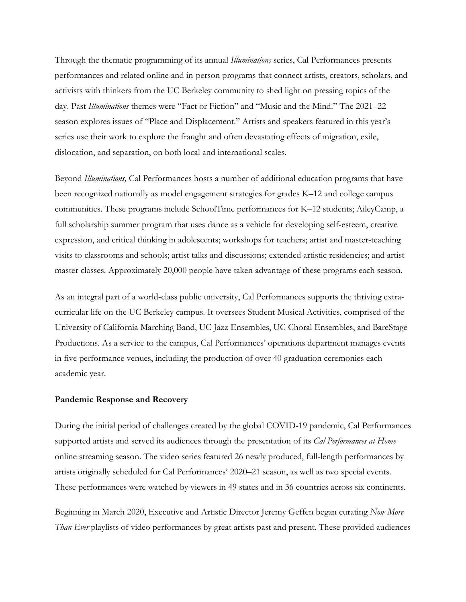Through the thematic programming of its annual *Illuminations* series, Cal Performances presents performances and related online and in-person programs that connect artists, creators, scholars, and activists with thinkers from the UC Berkeley community to shed light on pressing topics of the day. Past *Illuminations* themes were "Fact or Fiction" and "Music and the Mind." The 2021–22 season explores issues of "Place and Displacement." Artists and speakers featured in this year's series use their work to explore the fraught and often devastating effects of migration, exile, dislocation, and separation, on both local and international scales.

Beyond *Illuminations,* Cal Performances hosts a number of additional education programs that have been recognized nationally as model engagement strategies for grades K–12 and college campus communities. These programs include SchoolTime performances for K–12 students; AileyCamp, a full scholarship summer program that uses dance as a vehicle for developing self-esteem, creative expression, and critical thinking in adolescents; workshops for teachers; artist and master-teaching visits to classrooms and schools; artist talks and discussions; extended artistic residencies; and artist master classes. Approximately 20,000 people have taken advantage of these programs each season.

As an integral part of a world-class public university, Cal Performances supports the thriving extracurricular life on the UC Berkeley campus. It oversees Student Musical Activities, comprised of the University of California Marching Band, UC Jazz Ensembles, UC Choral Ensembles, and BareStage Productions. As a service to the campus, Cal Performances' operations department manages events in five performance venues, including the production of over 40 graduation ceremonies each academic year.

## **Pandemic Response and Recovery**

During the initial period of challenges created by the global COVID-19 pandemic, Cal Performances supported artists and served its audiences through the presentation of its *Cal Performances at Home* online streaming season. The video series featured 26 newly produced, full-length performances by artists originally scheduled for Cal Performances' 2020–21 season, as well as two special events. These performances were watched by viewers in 49 states and in 36 countries across six continents.

Beginning in March 2020, Executive and Artistic Director Jeremy Geffen began curating *Now More Than Ever* playlists of video performances by great artists past and present. These provided audiences